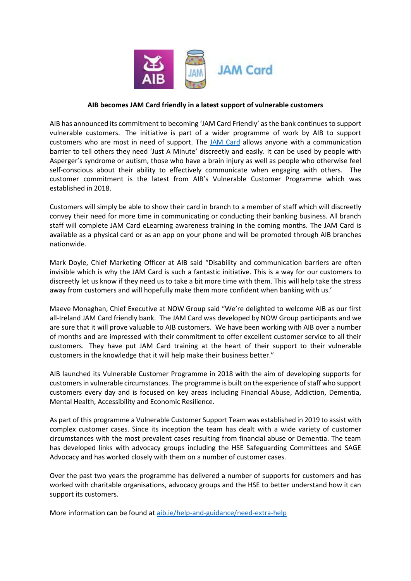

## **AIB becomes JAM Card friendly in a latest support of vulnerable customers**

AIB has announced its commitment to becoming 'JAM Card Friendly' as the bank continues to support vulnerable customers. The initiative is part of a wider programme of work by AIB to support customers who are most in need of support. The [JAM Card](https://jamcard.org/) allows anyone with a communication barrier to tell others they need 'Just A Minute' discreetly and easily. It can be used by people with Asperger's syndrome or autism, those who have a brain injury as well as people who otherwise feel self-conscious about their ability to effectively communicate when engaging with others. The customer commitment is the latest from AIB's Vulnerable Customer Programme which was established in 2018.

Customers will simply be able to show their card in branch to a member of staff which will discreetly convey their need for more time in communicating or conducting their banking business. All branch staff will complete JAM Card eLearning awareness training in the coming months. The JAM Card is available as a physical card or as an app on your phone and will be promoted through AIB branches nationwide.

Mark Doyle, Chief Marketing Officer at AIB said "Disability and communication barriers are often invisible which is why the JAM Card is such a fantastic initiative. This is a way for our customers to discreetly let us know if they need us to take a bit more time with them. This will help take the stress away from customers and will hopefully make them more confident when banking with us.'

Maeve Monaghan, Chief Executive at NOW Group said "We're delighted to welcome AIB as our first all-Ireland JAM Card friendly bank. The JAM Card was developed by NOW Group participants and we are sure that it will prove valuable to AIB customers. We have been working with AIB over a number of months and are impressed with their commitment to offer excellent customer service to all their customers. They have put JAM Card training at the heart of their support to their vulnerable customers in the knowledge that it will help make their business better."

AIB launched its Vulnerable Customer Programme in 2018 with the aim of developing supports for customers in vulnerable circumstances. The programme is built on the experience of staff who support customers every day and is focused on key areas including Financial Abuse, Addiction, Dementia, Mental Health, Accessibility and Economic Resilience.

As part of this programme a Vulnerable Customer Support Team was established in 2019 to assist with complex customer cases. Since its inception the team has dealt with a wide variety of customer circumstances with the most prevalent cases resulting from financial abuse or Dementia. The team has developed links with advocacy groups including the HSE Safeguarding Committees and SAGE Advocacy and has worked closely with them on a number of customer cases.

Over the past two years the programme has delivered a number of supports for customers and has worked with charitable organisations, advocacy groups and the HSE to better understand how it can support its customers.

More information can be found at [aib.ie/help-and-guidance/need-extra-help](https://aib.ie/help-and-guidance/need-extra-help)